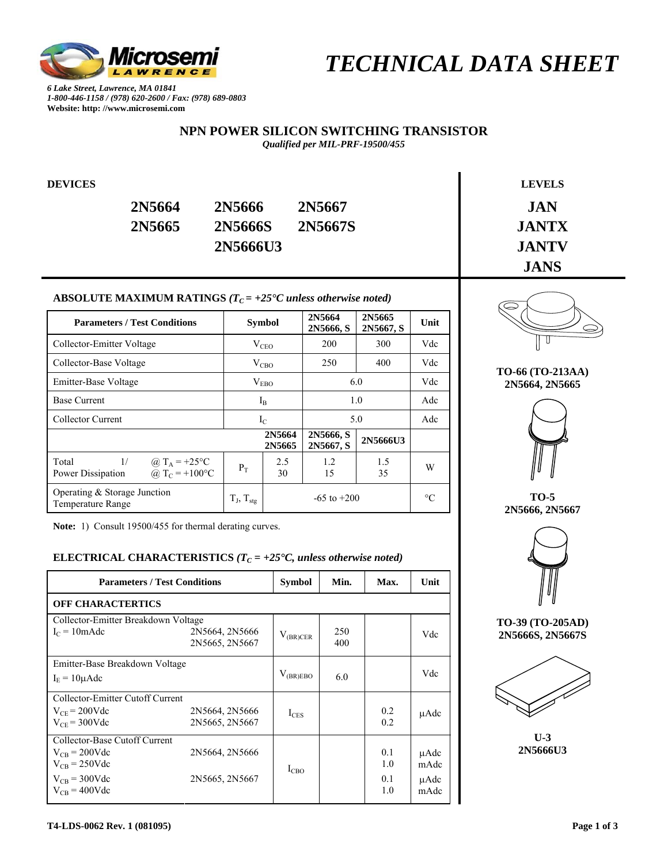

 *TECHNICAL DATA SHEET* 

 $\mathbf{r}$ 

*6 Lake Street, Lawrence, MA 01841 1-800-446-1158 / (978) 620-2600 / Fax: (978) 689-0803*  **Website: http: //www.microsemi.com** 

#### **NPN POWER SILICON SWITCHING TRANSISTOR** *Qualified per MIL-PRF-19500/455*

| <b>DEVICES</b> |        |          |         | <b>LEVELS</b> |
|----------------|--------|----------|---------|---------------|
|                | 2N5664 | 2N5666   | 2N5667  | <b>JAN</b>    |
|                | 2N5665 | 2N5666S  | 2N5667S | <b>JANTX</b>  |
|                |        | 2N5666U3 |         | <b>JANTV</b>  |
|                |        |          |         | <b>JANS</b>   |

#### ABSOLUTE MAXIMUM RATINGS  $(T_C = +25^{\circ}C \text{ unless otherwise noted})$

| <b>Parameters / Test Conditions</b>                                                       | <b>Symbol</b>     |                  | 2N5664<br>2N5666, S    | 2N5665<br>2N5667, S | Unit |
|-------------------------------------------------------------------------------------------|-------------------|------------------|------------------------|---------------------|------|
| Collector-Emitter Voltage                                                                 | $V_{CEO}$         |                  | 200                    | 300                 | Vdc  |
| Collector-Base Voltage                                                                    | $V_{CBO}$         |                  | 250                    | 400                 | Vdc  |
| Emitter-Base Voltage                                                                      | $V_{EBO}$         |                  | 6.0                    |                     | Vdc  |
| <b>Base Current</b>                                                                       | $I_{\rm B}$       |                  | 1.0                    |                     | Adc  |
| <b>Collector Current</b>                                                                  | $I_{\rm C}$       |                  | 5.0                    |                     | Adc  |
|                                                                                           |                   | 2N5664<br>2N5665 | 2N5666, S<br>2N5667, S | 2N5666U3            |      |
| Total<br>1/<br>@ T <sub>A</sub> = +25°C<br>@ T <sub>C</sub> = +100°C<br>Power Dissipation | $P_T$             | 2.5<br>30        | 1.2<br>15              | 1.5<br>35           | W    |
| Operating $&$ Storage Junction<br>Temperature Range                                       | $T_J$ , $T_{stg}$ | $-65$ to $+200$  |                        | $\circ$             |      |

Note: 1) Consult 19500/455 for thermal derating curves.

#### **ELECTRICAL CHARACTERISTICS**  $(T_C = +25^\circ C,$  unless otherwise noted)

| <b>Parameters / Test Conditions</b>                                                                                |                                  | Symbol        | Min.       | Max.                     | Unit                         |
|--------------------------------------------------------------------------------------------------------------------|----------------------------------|---------------|------------|--------------------------|------------------------------|
| <b>OFF CHARACTERTICS</b>                                                                                           |                                  |               |            |                          |                              |
| Collector-Emitter Breakdown Voltage<br>$I_C = 10 \text{m}$ Adc                                                     | 2N5664, 2N5666<br>2N5665, 2N5667 | $V_{(BR)CER}$ | 250<br>400 |                          | Vdc                          |
| Emitter-Base Breakdown Voltage<br>$IE = 10 \mu A d c$                                                              |                                  | $V_{(BR)EBO}$ | 6.0        |                          | Vdc                          |
| Collector-Emitter Cutoff Current<br>$V_{CE}$ = 200Vdc<br>$V_{CF}$ = 300Vdc                                         | 2N5664, 2N5666<br>2N5665, 2N5667 | $I_{CES}$     |            | 0.2<br>0.2               | µAdc                         |
| Collector-Base Cutoff Current<br>$V_{CR}$ = 200Vdc<br>$V_{CB}$ = 250Vdc<br>$V_{CR}$ = 300Vdc<br>$V_{CB} = 400$ Vdc | 2N5664, 2N5666<br>2N5665, 2N5667 | $I_{CBO}$     |            | 0.1<br>1.0<br>0.1<br>1.0 | µAdc<br>mAdc<br>µAdc<br>mAdc |



**TO-66 (TO-213AA) 2N5664, 2N5665** 



**TO-5 2N5666, 2N5667** 



**TO-39 (TO-205AD) 2N5666S, 2N5667S** 



**U-3 2N5666U3**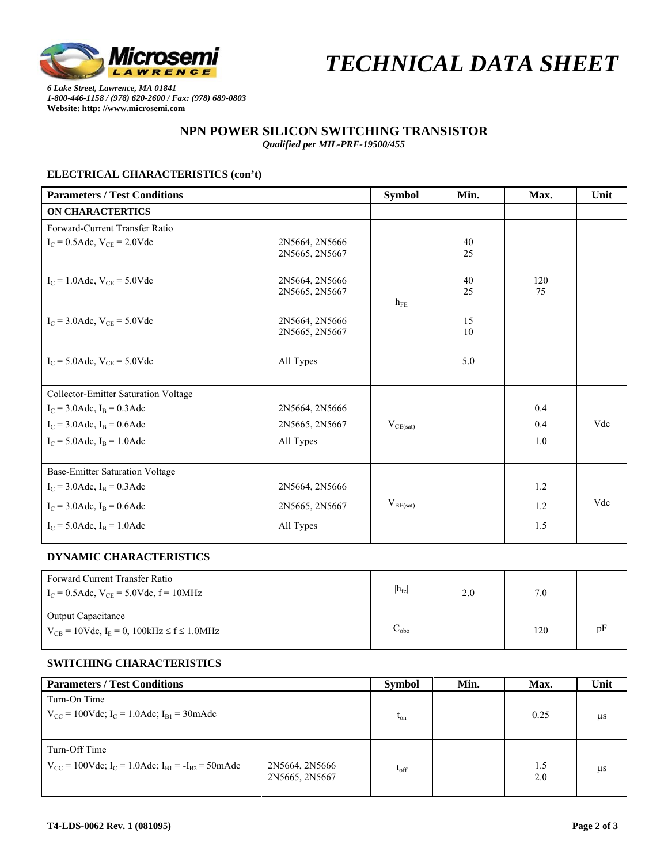

 *TECHNICAL DATA SHEET* 

*6 Lake Street, Lawrence, MA 01841 1-800-446-1158 / (978) 620-2600 / Fax: (978) 689-0803*  **Website: http: //www.microsemi.com** 

#### **NPN POWER SILICON SWITCHING TRANSISTOR** *Qualified per MIL-PRF-19500/455*

## **ELECTRICAL CHARACTERISTICS (con't)**

| <b>Parameters / Test Conditions</b>    |                                  | <b>Symbol</b> | Min.     | Max.      | Unit |
|----------------------------------------|----------------------------------|---------------|----------|-----------|------|
| <b>ON CHARACTERTICS</b>                |                                  |               |          |           |      |
| Forward-Current Transfer Ratio         |                                  |               |          |           |      |
| $I_C = 0.5$ Adc, $V_{CE} = 2.0$ Vdc    | 2N5664, 2N5666<br>2N5665, 2N5667 |               | 40<br>25 |           |      |
| $I_C = 1.0$ Adc, $V_{CE} = 5.0$ Vdc    | 2N5664, 2N5666<br>2N5665, 2N5667 | $h_{FE}$      | 40<br>25 | 120<br>75 |      |
| $I_C = 3.0$ Adc, $V_{CE} = 5.0$ Vdc    | 2N5664, 2N5666<br>2N5665, 2N5667 |               | 15<br>10 |           |      |
| $I_C = 5.0$ Adc, $V_{CE} = 5.0$ Vdc    | All Types                        |               | 5.0      |           |      |
| Collector-Emitter Saturation Voltage   |                                  |               |          |           |      |
| $I_C = 3.0$ Adc, $I_B = 0.3$ Adc       | 2N5664, 2N5666                   |               |          | 0.4       |      |
| $I_C = 3.0$ Adc, $I_B = 0.6$ Adc       | 2N5665, 2N5667                   | $V_{CE(sat)}$ |          | 0.4       | Vdc  |
| $I_C = 5.0$ Adc, $I_B = 1.0$ Adc       | All Types                        |               |          | 1.0       |      |
| <b>Base-Emitter Saturation Voltage</b> |                                  |               |          |           |      |
| $I_C = 3.0$ Adc, $I_B = 0.3$ Adc       | 2N5664, 2N5666                   |               |          | 1.2       |      |
| $I_C = 3.0$ Adc, $I_B = 0.6$ Adc       | 2N5665, 2N5667                   | $V_{BE(sat)}$ |          | 1.2       | Vdc  |
| $I_C = 5.0$ Adc, $I_B = 1.0$ Adc       | All Types                        |               |          | 1.5       |      |

#### **DYNAMIC CHARACTERISTICS**

| Forward Current Transfer Ratio<br>$I_C = 0.5$ Adc, $V_{CE} = 5.0$ Vdc, $f = 10$ MHz             | $ h_{fe} $          | 2.0 | 7.0 |    |
|-------------------------------------------------------------------------------------------------|---------------------|-----|-----|----|
| <b>Output Capacitance</b><br>$V_{CB} = 10V$ dc, I <sub>E</sub> = 0, 100kHz $\le$ f $\le$ 1.0MHz | $\cup_{\text{obo}}$ |     | 120 | pF |

#### **SWITCHING CHARACTERISTICS**

| <b>Parameters / Test Conditions</b>                               |                                  | <b>Symbol</b> | Min. | Max.       | Unit    |
|-------------------------------------------------------------------|----------------------------------|---------------|------|------------|---------|
| Turn-On Time                                                      |                                  |               |      |            |         |
| $V_{CC} = 100$ Vdc; $I_C = 1.0$ Adc; $I_{B1} = 30$ mAdc           |                                  | $t_{on}$      |      | 0.25       | $\mu$ s |
|                                                                   |                                  |               |      |            |         |
| Turn-Off Time                                                     |                                  |               |      |            |         |
| $V_{CC} = 100$ Vdc; $I_C = 1.0$ Adc; $I_{B1} = -I_{B2} = 50$ mAdc | 2N5664, 2N5666<br>2N5665, 2N5667 | $t_{\rm off}$ |      | 1.5<br>2.0 | μs      |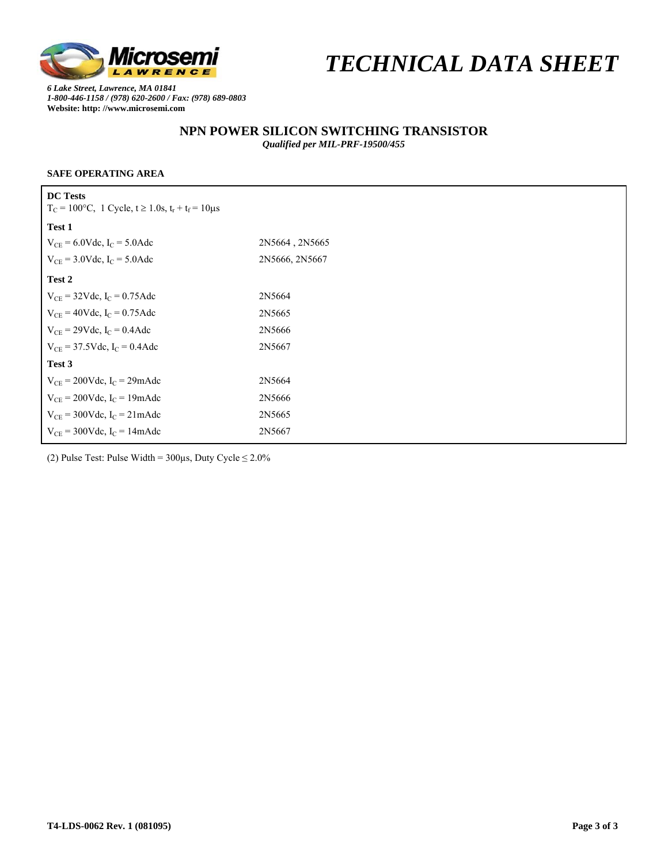

 *TECHNICAL DATA SHEET* 

*6 Lake Street, Lawrence, MA 01841 1-800-446-1158 / (978) 620-2600 / Fax: (978) 689-0803*  **Website: http: //www.microsemi.com** 

# **NPN POWER SILICON SWITCHING TRANSISTOR**

*Qualified per MIL-PRF-19500/455* 

## **SAFE OPERATING AREA**

| <b>DC Tests</b><br>$T_c = 100$ °C, 1 Cycle, t ≥ 1.0s, t <sub>r</sub> + t <sub>f</sub> = 10µs |                |  |  |  |
|----------------------------------------------------------------------------------------------|----------------|--|--|--|
| Test 1                                                                                       |                |  |  |  |
| $V_{CE} = 6.0$ Vdc, I <sub>C</sub> = 5.0Adc                                                  | 2N5664, 2N5665 |  |  |  |
| $V_{CE} = 3.0$ Vdc, I <sub>C</sub> = 5.0Adc                                                  | 2N5666, 2N5667 |  |  |  |
| Test 2                                                                                       |                |  |  |  |
| $V_{CE}$ = 32Vdc, I <sub>C</sub> = 0.75Adc                                                   | 2N5664         |  |  |  |
| $V_{CE} = 40$ Vdc, $I_C = 0.75$ Adc                                                          | 2N5665         |  |  |  |
| $V_{CF} = 29Vdc$ , $I_C = 0.4Adc$                                                            | 2N5666         |  |  |  |
| $V_{CE}$ = 37.5Vdc, I <sub>C</sub> = 0.4Adc                                                  | 2N5667         |  |  |  |
| Test 3                                                                                       |                |  |  |  |
| $V_{CE} = 200$ Vdc, I <sub>C</sub> = 29mAdc                                                  | 2N5664         |  |  |  |
| $V_{CE}$ = 200Vdc, I <sub>C</sub> = 19mAdc                                                   | 2N5666         |  |  |  |
| $V_{CF} = 300$ Vdc, $I_C = 21$ mAdc                                                          | 2N5665         |  |  |  |
| $V_{CE}$ = 300Vdc, I <sub>C</sub> = 14mAdc                                                   | 2N5667         |  |  |  |

(2) Pulse Test: Pulse Width =  $300\mu s$ , Duty Cycle  $\leq 2.0\%$